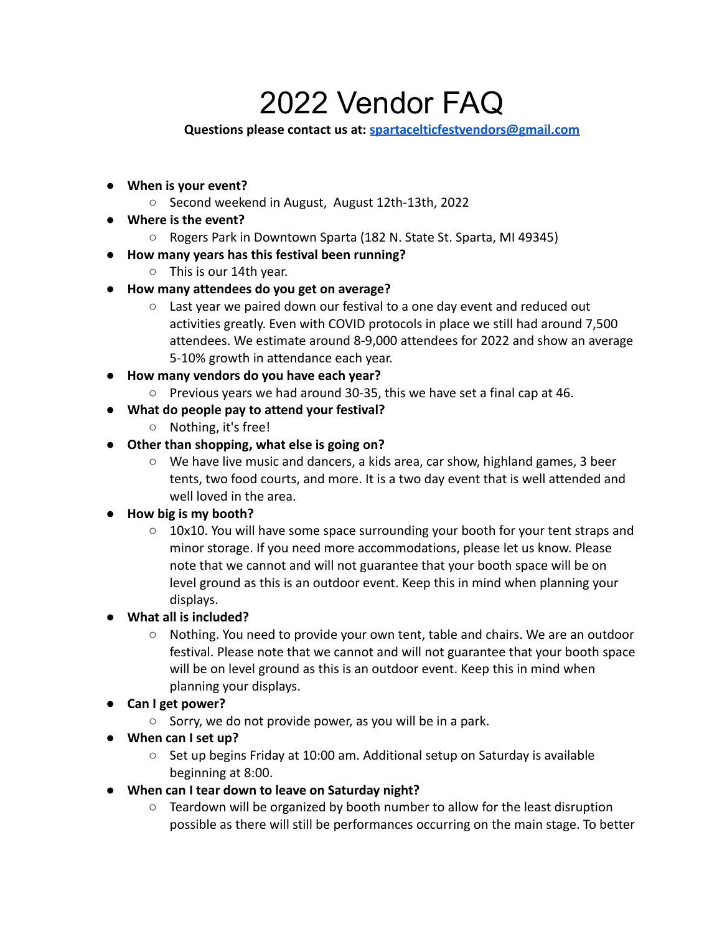# 2022 Vendor FAQ

## **Questions please contact us at: [spartacelticfestvendors@gmail.com](mailto:spartacelticfestvendors@gmail.com)**

- **● When is your event?**
	- Second weekend in August, August 12th-13th, 2022
- **● Where is the event?**
	- Rogers Park in Downtown Sparta (182 N. State St. Sparta, MI 49345)
- **● How many years has this festival been running?**
	- This is our 14th year.
- **● How many attendees do you get on average?**
	- $\circ$  Last year we paired down our festival to a one day event and reduced out activities greatly. Even with COVID protocols in place we still had around 7,500 attendees. We estimate around 8-9,000 attendees for 2022 and show an average 5-10% growth in attendance each year.
- **● How many vendors do you have each year?**
	- Previous years we had around 30-35, this we have set a final cap at 46.
- **● What do people pay to attend your festival?**
	- Nothing, it's free!
- **● Other than shopping, what else is going on?**
	- We have live music and dancers, a kids area, car show, highland games, 3 beer tents, two food courts, and more. It is a two day event that is well attended and well loved in the area.

## **● How big is my booth?**

- 10x10. You will have some space surrounding your booth for your tent straps and minor storage. If you need more accommodations, please let us know. Please note that we cannot and will not guarantee that your booth space will be on level ground as this is an outdoor event. Keep this in mind when planning your displays.
- **● What all is included?**
	- Nothing. You need to provide your own tent, table and chairs. We are an outdoor festival. Please note that we cannot and will not guarantee that your booth space will be on level ground as this is an outdoor event. Keep this in mind when planning your displays.
- **● Can I get power?**
	- Sorry, we do not provide power, as you will be in a park.
- **● When can I set up?**
	- $\circ$  Set up begins Friday at 10:00 am. Additional setup on Saturday is available beginning at 8:00.
- **● When can I tear down to leave on Saturday night?**
	- $\circ$  Teardown will be organized by booth number to allow for the least disruption possible as there will still be performances occurring on the main stage. To better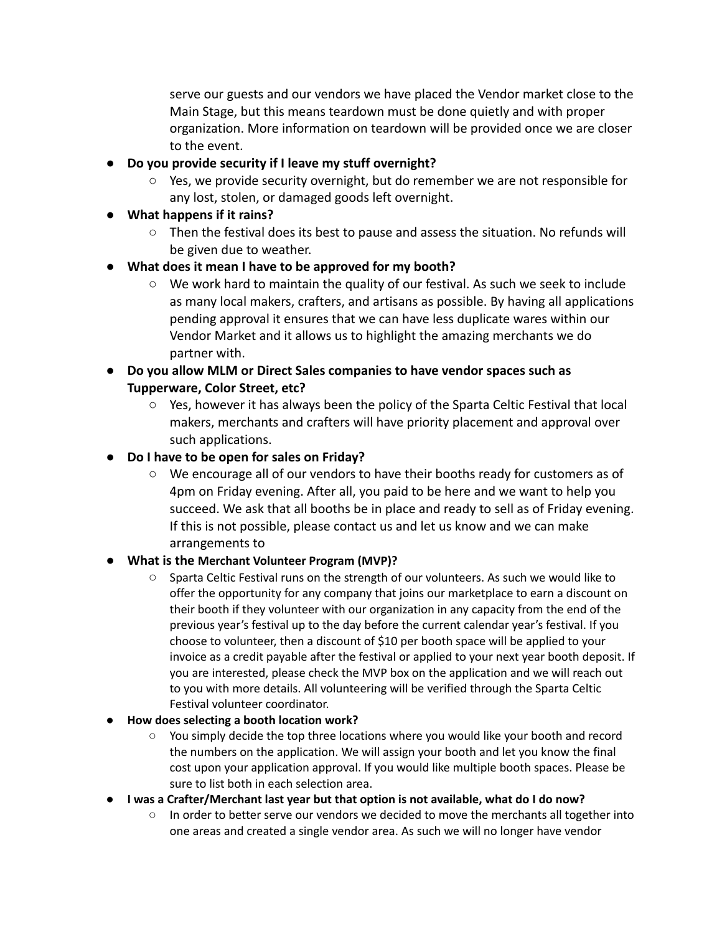serve our guests and our vendors we have placed the Vendor market close to the Main Stage, but this means teardown must be done quietly and with proper organization. More information on teardown will be provided once we are closer to the event.

- **● Do you provide security if I leave my stuff overnight?**
	- $\circ$  Yes, we provide security overnight, but do remember we are not responsible for any lost, stolen, or damaged goods left overnight.
- **● What happens if it rains?**
	- Then the festival does its best to pause and assess the situation. No refunds will be given due to weather.

## **● What does it mean I have to be approved for my booth?**

- We work hard to maintain the quality of our festival. As such we seek to include as many local makers, crafters, and artisans as possible. By having all applications pending approval it ensures that we can have less duplicate wares within our Vendor Market and it allows us to highlight the amazing merchants we do partner with.
- **● Do you allow MLM or Direct Sales companies to have vendor spaces such as Tupperware, Color Street, etc?**
	- $\circ$  Yes, however it has always been the policy of the Sparta Celtic Festival that local makers, merchants and crafters will have priority placement and approval over such applications.
- **● Do I have to be open for sales on Friday?**
	- We encourage all of our vendors to have their booths ready for customers as of 4pm on Friday evening. After all, you paid to be here and we want to help you succeed. We ask that all booths be in place and ready to sell as of Friday evening. If this is not possible, please contact us and let us know and we can make arrangements to

## **● What is the Merchant Volunteer Program (MVP)?**

**○** Sparta Celtic Festival runs on the strength of our volunteers. As such we would like to offer the opportunity for any company that joins our marketplace to earn a discount on their booth if they volunteer with our organization in any capacity from the end of the previous year's festival up to the day before the current calendar year's festival. If you choose to volunteer, then a discount of \$10 per booth space will be applied to your invoice as a credit payable after the festival or applied to your next year booth deposit. If you are interested, please check the MVP box on the application and we will reach out to you with more details. All volunteering will be verified through the Sparta Celtic Festival volunteer coordinator.

## **● How does selecting a booth location work?**

- You simply decide the top three locations where you would like your booth and record the numbers on the application. We will assign your booth and let you know the final cost upon your application approval. If you would like multiple booth spaces. Please be sure to list both in each selection area.
- **● I was a Crafter/Merchant last year but that option is not available, what do I do now?**
	- In order to better serve our vendors we decided to move the merchants all together into one areas and created a single vendor area. As such we will no longer have vendor